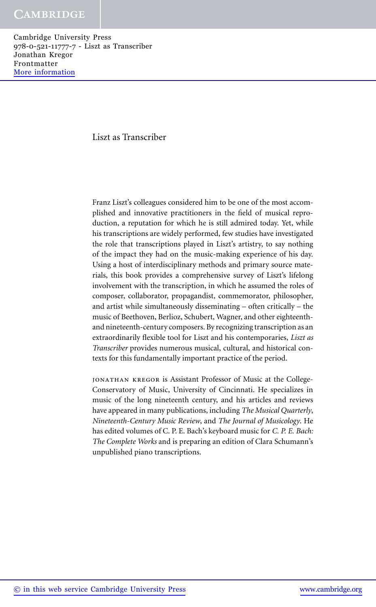#### Liszt as Transcriber

Franz Liszt's colleagues considered him to be one of the most accomplished and innovative practitioners in the field of musical reproduction, a reputation for which he is still admired today. Yet, while his transcriptions are widely performed, few studies have investigated the role that transcriptions played in Liszt's artistry, to say nothing of the impact they had on the music-making experience of his day. Using a host of interdisciplinary methods and primary source materials, this book provides a comprehensive survey of Liszt's lifelong involvement with the transcription, in which he assumed the roles of composer, collaborator, propagandist, commemorator, philosopher, and artist while simultaneously disseminating – often critically – the music of Beethoven, Berlioz, Schubert, Wagner, and other eighteenthand nineteenth-century composers. By recognizing transcription as an extraordinarily flexible tool for Liszt and his contemporaries, *Liszt as Transcriber* provides numerous musical, cultural, and historical contexts for this fundamentally important practice of the period.

jonathan kregor is Assistant Professor of Music at the College-Conservatory of Music, University of Cincinnati. He specializes in music of the long nineteenth century, and his articles and reviews have appeared in many publications, including *The Musical Quarterly*, *Nineteenth-Century Music Review*, and *The Journal of Musicology*. He has edited volumes of C. P. E. Bach's keyboard music for *C. P. E. Bach: The Complete Works* and is preparing an edition of Clara Schumann's unpublished piano transcriptions.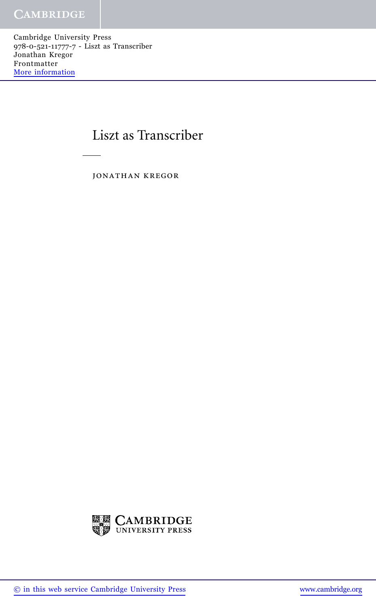# Liszt as Transcriber

jonathan kregor

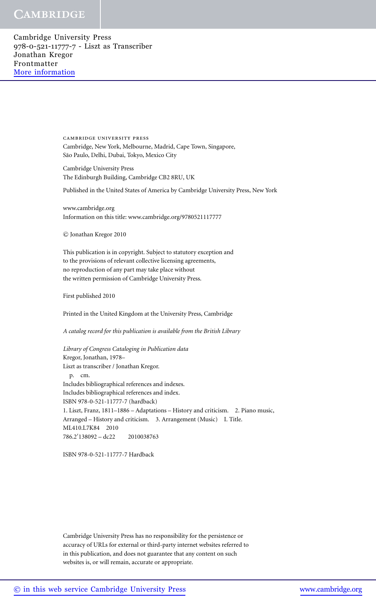Cambridge University Press 978-0-521-11777-7 - Liszt as Transcriber Jonathan Kregor Frontmatter [More information](http://www.cambridge.org/9780521117777)

> cambridge university press Cambridge, New York, Melbourne, Madrid, Cape Town, Singapore, São Paulo, Delhi, Dubai, Tokyo, Mexico City

Cambridge University Press The Edinburgh Building, Cambridge CB2 8RU, UK

Published in the United States of America by Cambridge University Press, New York

www.cambridge.org Information on this title: www.cambridge.org/9780521117777

c Jonathan Kregor 2010

This publication is in copyright. Subject to statutory exception and to the provisions of relevant collective licensing agreements, no reproduction of any part may take place without the written permission of Cambridge University Press.

First published 2010

Printed in the United Kingdom at the University Press, Cambridge

*A catalog record for this publication is available from the British Library*

*Library of Congress Cataloging in Publication data* Kregor, Jonathan, 1978– Liszt as transcriber / Jonathan Kregor. p. cm. Includes bibliographical references and indexes. Includes bibliographical references and index. ISBN 978-0-521-11777-7 (hardback) 1. Liszt, Franz, 1811–1886 – Adaptations – History and criticism. 2. Piano music, Arranged – History and criticism. 3. Arrangement (Music) I. Title. ML410.L7K84 2010 786.2- 138092 – dc22 2010038763

ISBN 978-0-521-11777-7 Hardback

Cambridge University Press has no responsibility for the persistence or accuracy of URLs for external or third-party internet websites referred to in this publication, and does not guarantee that any content on such websites is, or will remain, accurate or appropriate.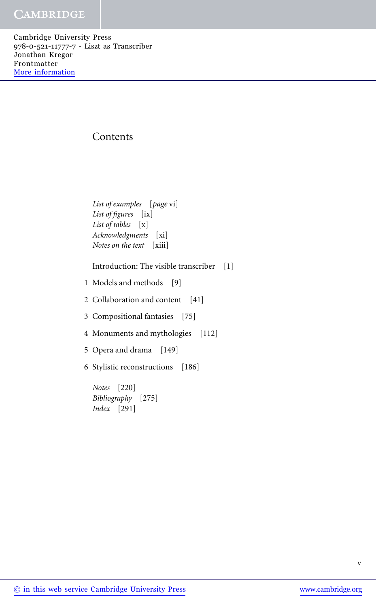# Contents

*List of examples* [*page* vi] *List of figures* [ix] *List of tables* [x] *Acknowledgments* [xi] *Notes on the text* [xiii]

Introduction: The visible transcriber [1]

1 Models and methods [9]

2 Collaboration and content [41]

3 Compositional fantasies [75]

4 Monuments and mythologies [112]

5 Opera and drama [149]

6 Stylistic reconstructions [186]

*Notes* [220] *Bibliography* [275] *Index* [291]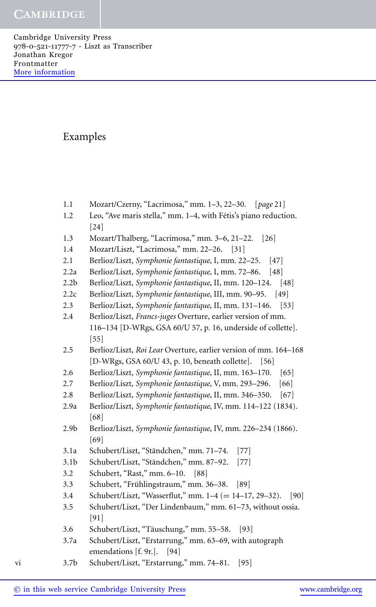# Examples

- 1.1 Mozart/Czerny, "Lacrimosa," mm. 1–3, 22–30. [*page* 21]
- 1.2 Leo, "Ave maris stella," mm. 1–4, with Fétis's piano reduction. [24]
- 1.3 Mozart/Thalberg, "Lacrimosa," mm. 3–6, 21–22. [26]
- 1.4 Mozart/Liszt, "Lacrimosa," mm. 22–26. [31]
- 2.1 Berlioz/Liszt, *Symphonie fantastique*, I, mm. 22–25. [47]
- 2.2a Berlioz/Liszt, *Symphonie fantastique*, I, mm. 72–86. [48]
- 2.2b Berlioz/Liszt, *Symphonie fantastique*, II, mm. 120–124. [48]
- 2.2c Berlioz/Liszt, *Symphonie fantastique*, III, mm. 90–95. [49]
- 2.3 Berlioz/Liszt, *Symphonie fantastique*, II, mm. 131–146. [53]
- 2.4 Berlioz/Liszt, *Francs-juges* Overture, earlier version of mm. 116–134 [D-WRgs, GSA 60/U 57, p. 16, underside of collette]. [55]
- 2.5 Berlioz/Liszt, *Roi Lear* Overture, earlier version of mm. 164–168 [D-WRgs, GSA 60/U 43, p. 10, beneath collette]. [56]
- 2.6 Berlioz/Liszt, *Symphonie fantastique*, II, mm. 163–170. [65]
- 2.7 Berlioz/Liszt, *Symphonie fantastique*, V, mm. 293–296. [66]
- 2.8 Berlioz/Liszt, *Symphonie fantastique*, II, mm. 346–350. [67]
- 2.9a Berlioz/Liszt, *Symphonie fantastique*, IV, mm. 114–122 (1834). [68]
- 2.9b Berlioz/Liszt, *Symphonie fantastique*, IV, mm. 226–234 (1866). [69]
- 3.1a Schubert/Liszt, "Ständchen," mm. 71–74. [77]
- 3.1b Schubert/Liszt, "Ständchen," mm. 87–92. [77]
- 3.2 Schubert, "Rast," mm. 6–10. [88]
- $3.3$  Schubert, "Frühlingstraum," mm.  $36-38$ . [89]
- 3.4 Schubert/Liszt, "Wasserflut," mm. 1–4 (= 14–17, 29–32). [90]<br>3.5 Schubert/Liszt. "Der Lindenbaum." mm. 61–73. without ossia.
- 3.5 Schubert/Liszt, "Der Lindenbaum," mm. 61–73, without ossia. [91]
- 3.6 Schubert/Liszt, "Täuschung," mm. 55–58. [93]
- 3.7a Schubert/Liszt, "Erstarrung," mm. 63–69, with autograph emendations [f. 9r.]. [94]
- vi 3.7b Schubert/Liszt, "Erstarrung," mm. 74–81. [95]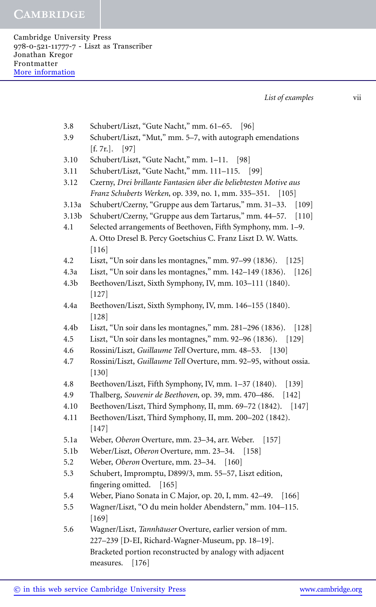Cambridge University Press 978-0-521-11777-7 - Liszt as Transcriber Jonathan Kregor Frontmatter [More information](http://www.cambridge.org/9780521117777)

*List of examples* vii

- 3.8 Schubert/Liszt, "Gute Nacht," mm. 61–65. [96]
- 3.9 Schubert/Liszt, "Mut," mm. 5–7, with autograph emendations [f. 7r.]. [97]
- 3.10 Schubert/Liszt, "Gute Nacht," mm. 1–11. [98]
- 3.11 Schubert/Liszt, "Gute Nacht," mm. 111–115. [99]
- 3.12 Czerny, *Drei brillante Fantasien uber die beliebtesten Motive aus ¨ Franz Schuberts Werken*, op. 339, no. 1, mm. 335–351. [105]
- 3.13a Schubert/Czerny, "Gruppe aus dem Tartarus," mm. 31–33. [109]
- 3.13b Schubert/Czerny, "Gruppe aus dem Tartarus," mm. 44–57. [110]
- 4.1 Selected arrangements of Beethoven, Fifth Symphony, mm. 1–9. A. Otto Dresel B. Percy Goetschius C. Franz Liszt D. W. Watts. [116]
- 4.2 Liszt, "Un soir dans les montagnes," mm. 97–99 (1836). [125]
- 4.3a Liszt, "Un soir dans les montagnes," mm. 142–149 (1836). [126]
- 4.3b Beethoven/Liszt, Sixth Symphony, IV, mm. 103–111 (1840). [127]
- 4.4a Beethoven/Liszt, Sixth Symphony, IV, mm. 146–155 (1840). [128]
- 4.4b Liszt, "Un soir dans les montagnes," mm. 281–296 (1836). [128]
- 4.5 Liszt, "Un soir dans les montagnes," mm. 92–96 (1836). [129]
- 4.6 Rossini/Liszt, *Guillaume Tell* Overture, mm. 48–53. [130]
- 4.7 Rossini/Liszt, *Guillaume Tell* Overture, mm. 92–95, without ossia. [130]
- 4.8 Beethoven/Liszt, Fifth Symphony, IV, mm. 1–37 (1840). [139]
- 4.9 Thalberg, *Souvenir de Beethoven*, op. 39, mm. 470–486. [142]
- 4.10 Beethoven/Liszt, Third Symphony, II, mm. 69–72 (1842). [147]
- 4.11 Beethoven/Liszt, Third Symphony, II, mm. 200–202 (1842). [147]
- 5.1a Weber, *Oberon* Overture, mm. 23–34, arr. Weber. [157]
- 5.1b Weber/Liszt, *Oberon* Overture, mm. 23–34. [158]
- 5.2 Weber, *Oberon* Overture, mm. 23–34. [160]
- 5.3 Schubert, Impromptu, D899/3, mm. 55–57, Liszt edition, fingering omitted. [165]
- 5.4 Weber, Piano Sonata in C Major, op. 20, I, mm. 42–49. [166]
- 5.5 Wagner/Liszt, "O du mein holder Abendstern," mm. 104–115. [169]
- 5.6 Wagner/Liszt, *Tannhäuser* Overture, earlier version of mm. 227–239 [D-EI, Richard-Wagner-Museum, pp. 18–19]. Bracketed portion reconstructed by analogy with adjacent measures. [176]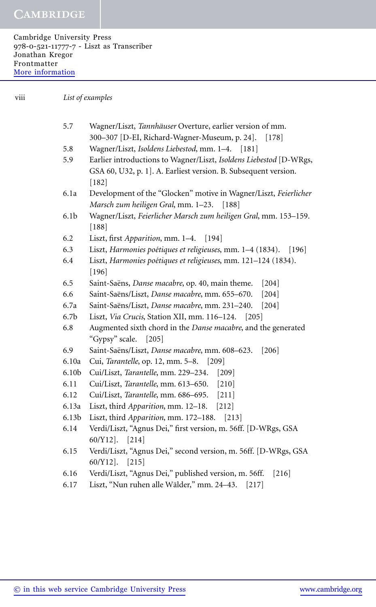Cambridge University Press 978-0-521-11777-7 - Liszt as Transcriber Jonathan Kregor Frontmatter [More information](http://www.cambridge.org/9780521117777)

viii *List of examples*

| 5.7               | Wagner/Liszt, Tannhäuser Overture, earlier version of mm.          |  |
|-------------------|--------------------------------------------------------------------|--|
|                   | 300-307 [D-EI, Richard-Wagner-Museum, p. 24].<br>$[178]$           |  |
| 5.8               | Wagner/Liszt, Isoldens Liebestod, mm. 1-4.<br> 181                 |  |
| 5.9               | Earlier introductions to Wagner/Liszt, Isoldens Liebestod [D-WRgs, |  |
|                   | GSA 60, U32, p. 1]. A. Earliest version. B. Subsequent version.    |  |
|                   | $[182]$                                                            |  |
| 6.1a              | Development of the "Glocken" motive in Wagner/Liszt, Feierlicher   |  |
|                   | Marsch zum heiligen Gral, mm. 1-23.<br>$[188]$                     |  |
| 6.1b              | Wagner/Liszt, Feierlicher Marsch zum heiligen Gral, mm. 153-159.   |  |
|                   | $[188]$                                                            |  |
| 6.2               | Liszt, first Apparition, mm. 1-4. [194]                            |  |
| 6.3               | Liszt, Harmonies poétiques et religieuses, mm. 1-4 (1834).<br> 196 |  |
| 6.4               | Liszt, Harmonies poétiques et religieuses, mm. 121-124 (1834).     |  |
|                   | $[196]$                                                            |  |
| 6.5               | Saint-Saëns, Danse macabre, op. 40, main theme.<br>$[204]$         |  |
| 6.6               | Saint-Saëns/Liszt, Danse macabre, mm. 655-670.<br>$[204]$          |  |
| 6.7a              | Saint-Saëns/Liszt, Danse macabre, mm. 231-240.<br>$[204]$          |  |
| 6.7b              | Liszt, Via Crucis, Station XII, mm. 116-124. [205]                 |  |
| 6.8               | Augmented sixth chord in the Danse macabre, and the generated      |  |
|                   | "Gypsy" scale.<br>$[205]$                                          |  |
| 6.9               | Saint-Saëns/Liszt, Danse macabre, mm. 608-623.<br>$[206]$          |  |
| 6.10a             | Cui, Tarantelle, op. 12, mm. 5-8. [209]                            |  |
| 6.10 <sub>b</sub> | Cui/Liszt, Tarantelle, mm. 229-234.<br>$[209]$                     |  |
| 6.11              | Cui/Liszt, Tarantelle, mm. 613-650.<br>$[210]$                     |  |
| 6.12              | Cui/Liszt, Tarantelle, mm. 686-695.<br>$[211]$                     |  |
| 6.13a             | Liszt, third Apparition, mm. 12-18. [212]                          |  |
| 6.13b             | Liszt, third Apparition, mm. 172-188. [213]                        |  |
| 6.14              | Verdi/Liszt, "Agnus Dei," first version, m. 56ff. [D-WRgs, GSA     |  |
|                   | $60/Y12$ ].<br>$[214]$                                             |  |
| 6.15              | Verdi/Liszt, "Agnus Dei," second version, m. 56ff. [D-WRgs, GSA    |  |
|                   | $[215]$<br>$60/Y12$ .                                              |  |
| 6.16              | Verdi/Liszt, "Agnus Dei," published version, m. 56ff.<br>$[216]$   |  |
| 6.17              | Liszt, "Nun ruhen alle Wälder," mm. 24–43.<br> 217                 |  |
|                   |                                                                    |  |
|                   |                                                                    |  |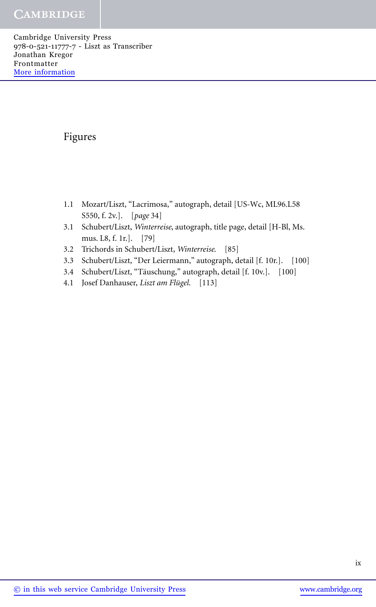Cambridge University Press 978-0-521-11777-7 - Liszt as Transcriber Jonathan Kregor Frontmatter [More information](http://www.cambridge.org/9780521117777)

# Figures

- 1.1 Mozart/Liszt, "Lacrimosa," autograph, detail [US-Wc, ML96.L58 S550, f. 2v.]. [*page* 34]
- 3.1 Schubert/Liszt, *Winterreise*, autograph, title page, detail [H-Bl, Ms. mus. L8, f. 1r.]. [79]
- 3.2 Trichords in Schubert/Liszt, *Winterreise*. [85]
- 3.3 Schubert/Liszt, "Der Leiermann," autograph, detail [f. 10r.]. [100]
- 3.4 Schubert/Liszt, "Täuschung," autograph, detail [f. 10v.]. [100]
- 4.1 Josef Danhauser, *Liszt am Flugel ¨* . [113]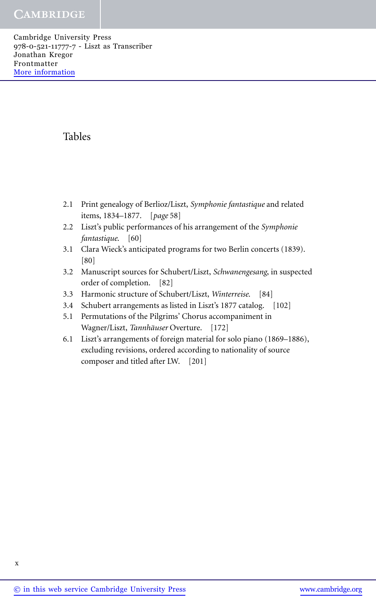Cambridge University Press 978-0-521-11777-7 - Liszt as Transcriber Jonathan Kregor Frontmatter [More information](http://www.cambridge.org/9780521117777)

# Tables

- 2.1 Print genealogy of Berlioz/Liszt, *Symphonie fantastique* and related items, 1834–1877. [*page* 58]
- 2.2 Liszt's public performances of his arrangement of the *Symphonie fantastique*. [60]
- 3.1 Clara Wieck's anticipated programs for two Berlin concerts (1839). [80]
- 3.2 Manuscript sources for Schubert/Liszt, *Schwanengesang*, in suspected order of completion. [82]
- 3.3 Harmonic structure of Schubert/Liszt, *Winterreise*. [84]
- 3.4 Schubert arrangements as listed in Liszt's 1877 catalog. [102]
- 5.1 Permutations of the Pilgrims' Chorus accompaniment in Wagner/Liszt, *Tannhäuser* Overture. [172]
- 6.1 Liszt's arrangements of foreign material for solo piano (1869–1886), excluding revisions, ordered according to nationality of source composer and titled after LW. [201]

x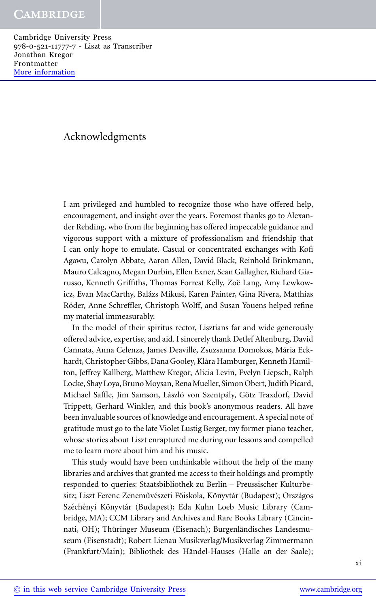# Acknowledgments

I am privileged and humbled to recognize those who have offered help, encouragement, and insight over the years. Foremost thanks go to Alexander Rehding, who from the beginning has offered impeccable guidance and vigorous support with a mixture of professionalism and friendship that I can only hope to emulate. Casual or concentrated exchanges with Kofi Agawu, Carolyn Abbate, Aaron Allen, David Black, Reinhold Brinkmann, Mauro Calcagno, Megan Durbin, Ellen Exner, Sean Gallagher, Richard Giarusso, Kenneth Griffiths, Thomas Forrest Kelly, Zoë Lang, Amy Lewkowicz, Evan MacCarthy, Balázs Mikusi, Karen Painter, Gina Rivera, Matthias Röder, Anne Schreffler, Christoph Wolff, and Susan Youens helped refine my material immeasurably.

In the model of their spiritus rector, Lisztians far and wide generously offered advice, expertise, and aid. I sincerely thank Detlef Altenburg, David Cannata, Anna Celenza, James Deaville, Zsuzsanna Domokos, Mária Eckhardt, Christopher Gibbs, Dana Gooley, Klára Hamburger, Kenneth Hamilton, Jeffrey Kallberg, Matthew Kregor, Alicia Levin, Evelyn Liepsch, Ralph Locke, Shay Loya, Bruno Moysan, Rena Mueller, Simon Obert, Judith Picard, Michael Saffle, Jim Samson, László von Szentpály, Götz Traxdorf, David Trippett, Gerhard Winkler, and this book's anonymous readers. All have been invaluable sources of knowledge and encouragement. A special note of gratitude must go to the late Violet Lustig Berger, my former piano teacher, whose stories about Liszt enraptured me during our lessons and compelled me to learn more about him and his music.

This study would have been unthinkable without the help of the many libraries and archives that granted me access to their holdings and promptly responded to queries: Staatsbibliothek zu Berlin – Preussischer Kulturbesitz; Liszt Ferenc Zeneművészeti Főiskola, Könyvtár (Budapest); Országos Széchényi Könyvtár (Budapest); Eda Kuhn Loeb Music Library (Cambridge, MA); CCM Library and Archives and Rare Books Library (Cincinnati, OH); Thüringer Museum (Eisenach); Burgenländisches Landesmuseum (Eisenstadt); Robert Lienau Musikverlag/Musikverlag Zimmermann (Frankfurt/Main); Bibliothek des Händel-Hauses (Halle an der Saale);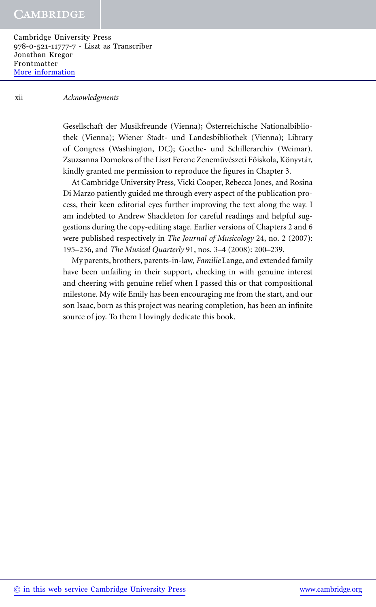Cambridge University Press 978-0-521-11777-7 - Liszt as Transcriber Jonathan Kregor Frontmatter [More information](http://www.cambridge.org/9780521117777)

#### xii *Acknowledgments*

Gesellschaft der Musikfreunde (Vienna); Osterreichische Nationalbiblio- ¨ thek (Vienna); Wiener Stadt- und Landesbibliothek (Vienna); Library of Congress (Washington, DC); Goethe- und Schillerarchiv (Weimar). Zsuzsanna Domokos of the Liszt Ferenc Zeneművészeti Főiskola, Könyvtár, kindly granted me permission to reproduce the figures in Chapter 3.

At Cambridge University Press, Vicki Cooper, Rebecca Jones, and Rosina Di Marzo patiently guided me through every aspect of the publication process, their keen editorial eyes further improving the text along the way. I am indebted to Andrew Shackleton for careful readings and helpful suggestions during the copy-editing stage. Earlier versions of Chapters 2 and 6 were published respectively in *The Journal of Musicology* 24, no. 2 (2007): 195–236, and *The Musical Quarterly* 91, nos. 3–4 (2008): 200–239.

My parents, brothers, parents-in-law, *Familie* Lange, and extended family have been unfailing in their support, checking in with genuine interest and cheering with genuine relief when I passed this or that compositional milestone. My wife Emily has been encouraging me from the start, and our son Isaac, born as this project was nearing completion, has been an infinite source of joy. To them I lovingly dedicate this book.